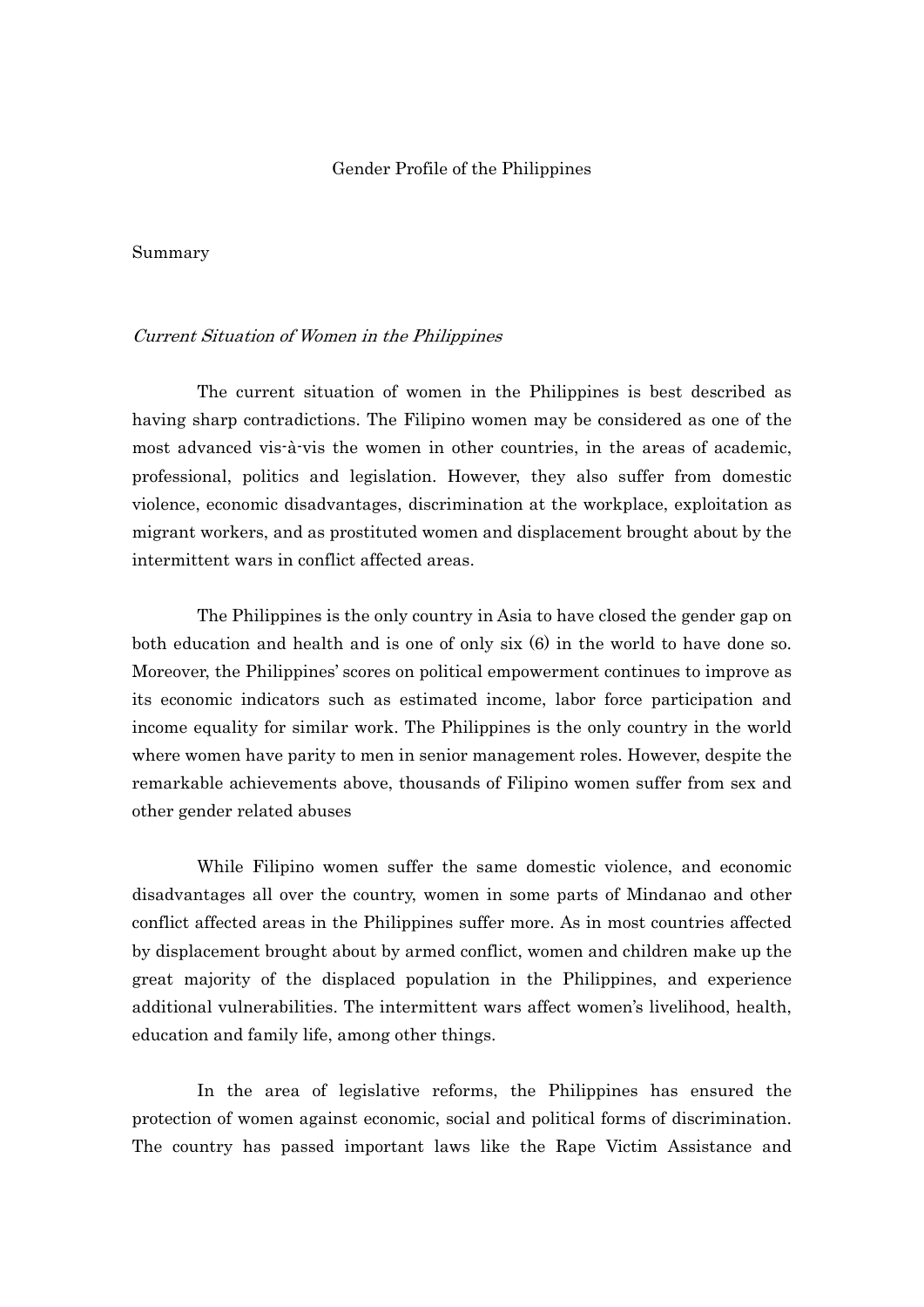### Gender Profile of the Philippines

### Summary

### Current Situation of Women in the Philippines

 The current situation of women in the Philippines is best described as having sharp contradictions. The Filipino women may be considered as one of the most advanced vis-à-vis the women in other countries, in the areas of academic, professional, politics and legislation. However, they also suffer from domestic violence, economic disadvantages, discrimination at the workplace, exploitation as migrant workers, and as prostituted women and displacement brought about by the intermittent wars in conflict affected areas.

 The Philippines is the only country in Asia to have closed the gender gap on both education and health and is one of only six (6) in the world to have done so. Moreover, the Philippines' scores on political empowerment continues to improve as its economic indicators such as estimated income, labor force participation and income equality for similar work. The Philippines is the only country in the world where women have parity to men in senior management roles. However, despite the remarkable achievements above, thousands of Filipino women suffer from sex and other gender related abuses

While Filipino women suffer the same domestic violence, and economic disadvantages all over the country, women in some parts of Mindanao and other conflict affected areas in the Philippines suffer more. As in most countries affected by displacement brought about by armed conflict, women and children make up the great majority of the displaced population in the Philippines, and experience additional vulnerabilities. The intermittent wars affect women's livelihood, health, education and family life, among other things.

In the area of legislative reforms, the Philippines has ensured the protection of women against economic, social and political forms of discrimination. The country has passed important laws like the Rape Victim Assistance and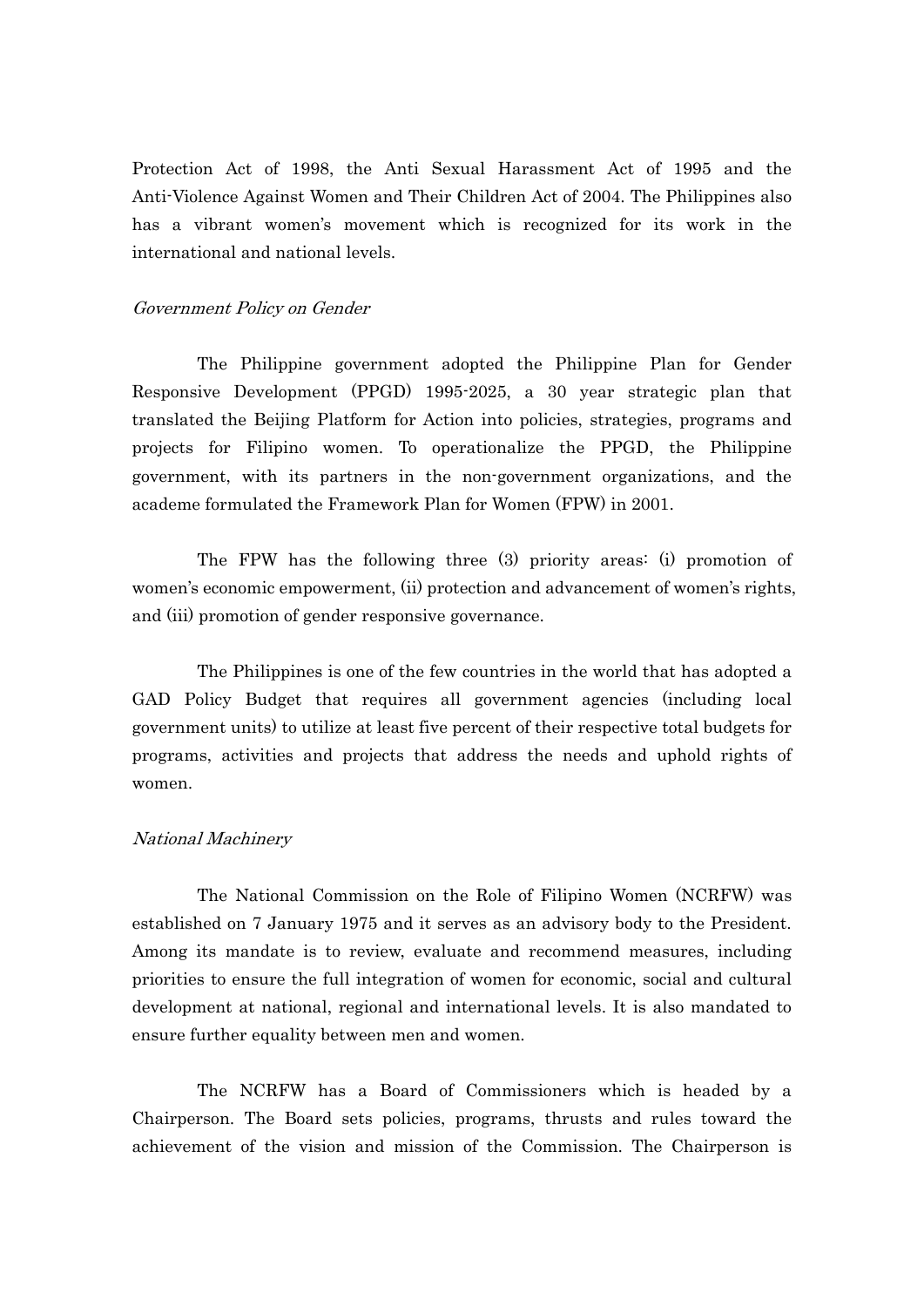Protection Act of 1998, the Anti Sexual Harassment Act of 1995 and the Anti-Violence Against Women and Their Children Act of 2004. The Philippines also has a vibrant women's movement which is recognized for its work in the international and national levels.

### Government Policy on Gender

 The Philippine government adopted the Philippine Plan for Gender Responsive Development (PPGD) 1995-2025, a 30 year strategic plan that translated the Beijing Platform for Action into policies, strategies, programs and projects for Filipino women. To operationalize the PPGD, the Philippine government, with its partners in the non-government organizations, and the academe formulated the Framework Plan for Women (FPW) in 2001.

 The FPW has the following three (3) priority areas: (i) promotion of women's economic empowerment, (ii) protection and advancement of women's rights, and (iii) promotion of gender responsive governance.

 The Philippines is one of the few countries in the world that has adopted a GAD Policy Budget that requires all government agencies (including local government units) to utilize at least five percent of their respective total budgets for programs, activities and projects that address the needs and uphold rights of women.

#### National Machinery

 The National Commission on the Role of Filipino Women (NCRFW) was established on 7 January 1975 and it serves as an advisory body to the President. Among its mandate is to review, evaluate and recommend measures, including priorities to ensure the full integration of women for economic, social and cultural development at national, regional and international levels. It is also mandated to ensure further equality between men and women.

 The NCRFW has a Board of Commissioners which is headed by a Chairperson. The Board sets policies, programs, thrusts and rules toward the achievement of the vision and mission of the Commission. The Chairperson is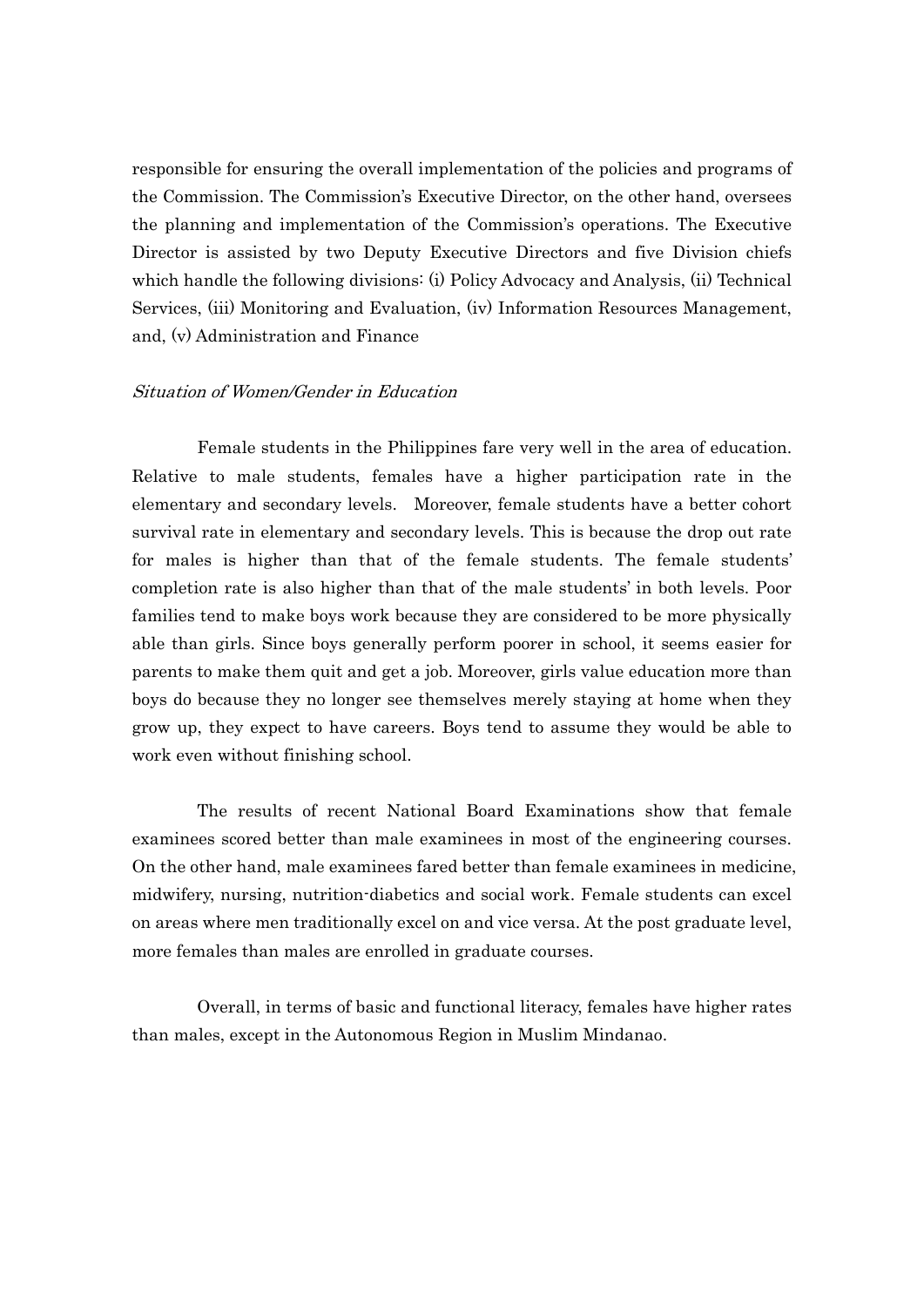responsible for ensuring the overall implementation of the policies and programs of the Commission. The Commission's Executive Director, on the other hand, oversees the planning and implementation of the Commission's operations. The Executive Director is assisted by two Deputy Executive Directors and five Division chiefs which handle the following divisions: (i) Policy Advocacy and Analysis, (ii) Technical Services, (iii) Monitoring and Evaluation, (iv) Information Resources Management, and, (v) Administration and Finance

# Situation of Women/Gender in Education

 Female students in the Philippines fare very well in the area of education. Relative to male students, females have a higher participation rate in the elementary and secondary levels. Moreover, female students have a better cohort survival rate in elementary and secondary levels. This is because the drop out rate for males is higher than that of the female students. The female students' completion rate is also higher than that of the male students' in both levels. Poor families tend to make boys work because they are considered to be more physically able than girls. Since boys generally perform poorer in school, it seems easier for parents to make them quit and get a job. Moreover, girls value education more than boys do because they no longer see themselves merely staying at home when they grow up, they expect to have careers. Boys tend to assume they would be able to work even without finishing school.

 The results of recent National Board Examinations show that female examinees scored better than male examinees in most of the engineering courses. On the other hand, male examinees fared better than female examinees in medicine, midwifery, nursing, nutrition-diabetics and social work. Female students can excel on areas where men traditionally excel on and vice versa. At the post graduate level, more females than males are enrolled in graduate courses.

 Overall, in terms of basic and functional literacy, females have higher rates than males, except in the Autonomous Region in Muslim Mindanao.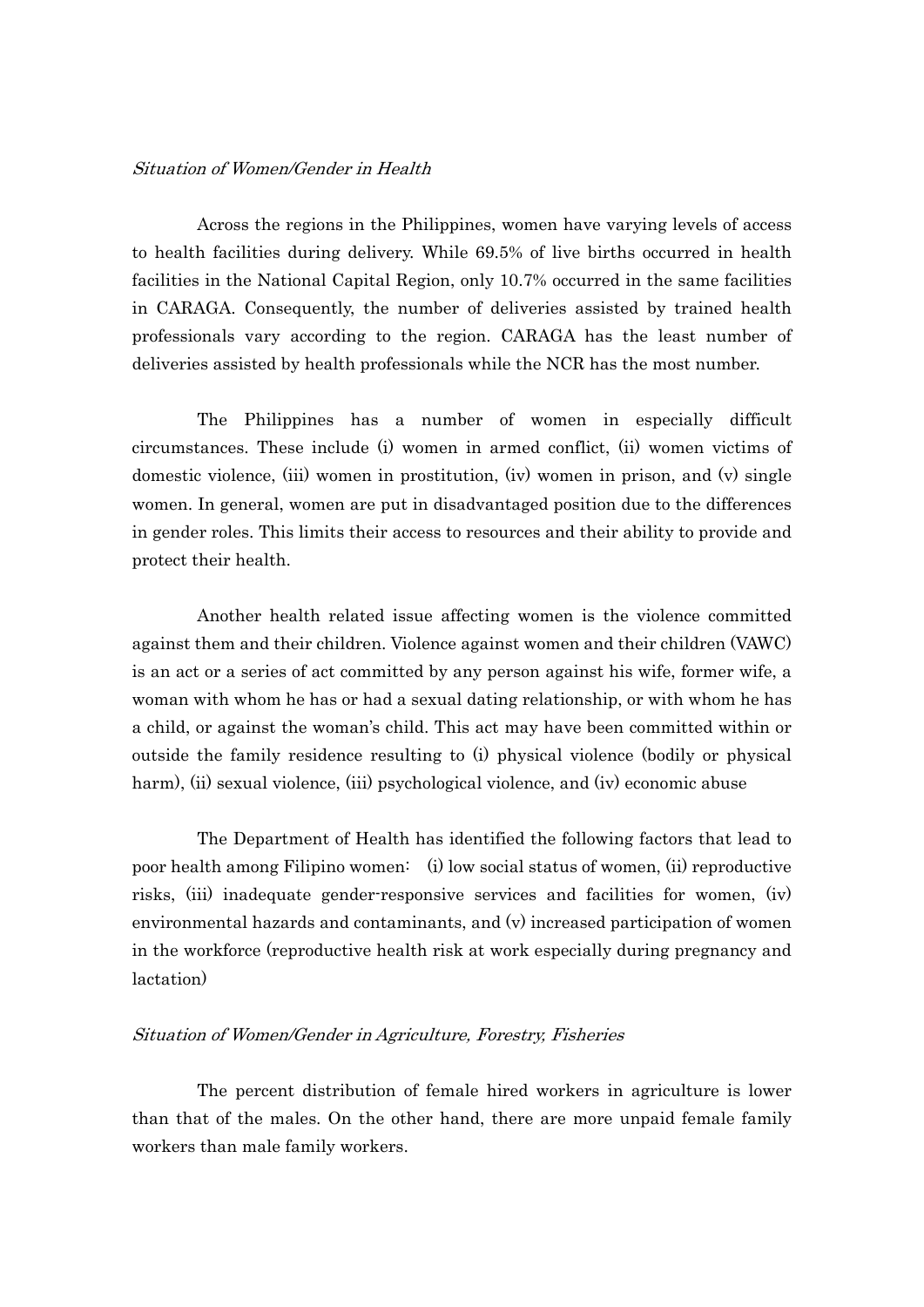# Situation of Women/Gender in Health

 Across the regions in the Philippines, women have varying levels of access to health facilities during delivery. While 69.5% of live births occurred in health facilities in the National Capital Region, only 10.7% occurred in the same facilities in CARAGA. Consequently, the number of deliveries assisted by trained health professionals vary according to the region. CARAGA has the least number of deliveries assisted by health professionals while the NCR has the most number.

 The Philippines has a number of women in especially difficult circumstances. These include (i) women in armed conflict, (ii) women victims of domestic violence, (iii) women in prostitution, (iv) women in prison, and (v) single women. In general, women are put in disadvantaged position due to the differences in gender roles. This limits their access to resources and their ability to provide and protect their health.

 Another health related issue affecting women is the violence committed against them and their children. Violence against women and their children (VAWC) is an act or a series of act committed by any person against his wife, former wife, a woman with whom he has or had a sexual dating relationship, or with whom he has a child, or against the woman's child. This act may have been committed within or outside the family residence resulting to (i) physical violence (bodily or physical harm), (ii) sexual violence, (iii) psychological violence, and (iv) economic abuse

 The Department of Health has identified the following factors that lead to poor health among Filipino women: (i) low social status of women, (ii) reproductive risks, (iii) inadequate gender-responsive services and facilities for women, (iv) environmental hazards and contaminants, and (v) increased participation of women in the workforce (reproductive health risk at work especially during pregnancy and lactation)

### Situation of Women/Gender in Agriculture, Forestry, Fisheries

 The percent distribution of female hired workers in agriculture is lower than that of the males. On the other hand, there are more unpaid female family workers than male family workers.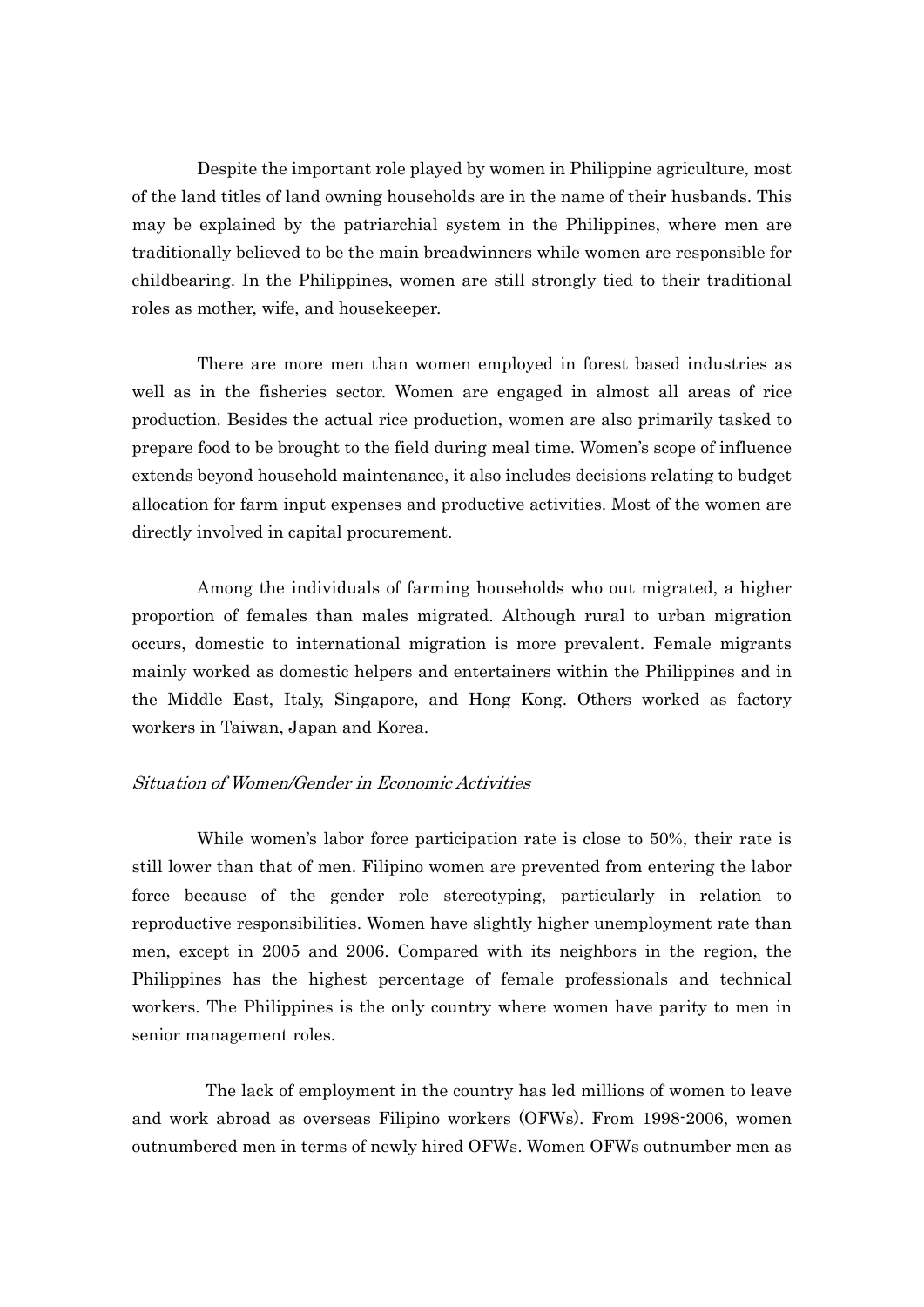Despite the important role played by women in Philippine agriculture, most of the land titles of land owning households are in the name of their husbands. This may be explained by the patriarchial system in the Philippines, where men are traditionally believed to be the main breadwinners while women are responsible for childbearing. In the Philippines, women are still strongly tied to their traditional roles as mother, wife, and housekeeper.

 There are more men than women employed in forest based industries as well as in the fisheries sector. Women are engaged in almost all areas of rice production. Besides the actual rice production, women are also primarily tasked to prepare food to be brought to the field during meal time. Women's scope of influence extends beyond household maintenance, it also includes decisions relating to budget allocation for farm input expenses and productive activities. Most of the women are directly involved in capital procurement.

 Among the individuals of farming households who out migrated, a higher proportion of females than males migrated. Although rural to urban migration occurs, domestic to international migration is more prevalent. Female migrants mainly worked as domestic helpers and entertainers within the Philippines and in the Middle East, Italy, Singapore, and Hong Kong. Others worked as factory workers in Taiwan, Japan and Korea.

# Situation of Women/Gender in Economic Activities

 While women's labor force participation rate is close to 50%, their rate is still lower than that of men. Filipino women are prevented from entering the labor force because of the gender role stereotyping, particularly in relation to reproductive responsibilities. Women have slightly higher unemployment rate than men, except in 2005 and 2006. Compared with its neighbors in the region, the Philippines has the highest percentage of female professionals and technical workers. The Philippines is the only country where women have parity to men in senior management roles.

 The lack of employment in the country has led millions of women to leave and work abroad as overseas Filipino workers (OFWs). From 1998-2006, women outnumbered men in terms of newly hired OFWs. Women OFWs outnumber men as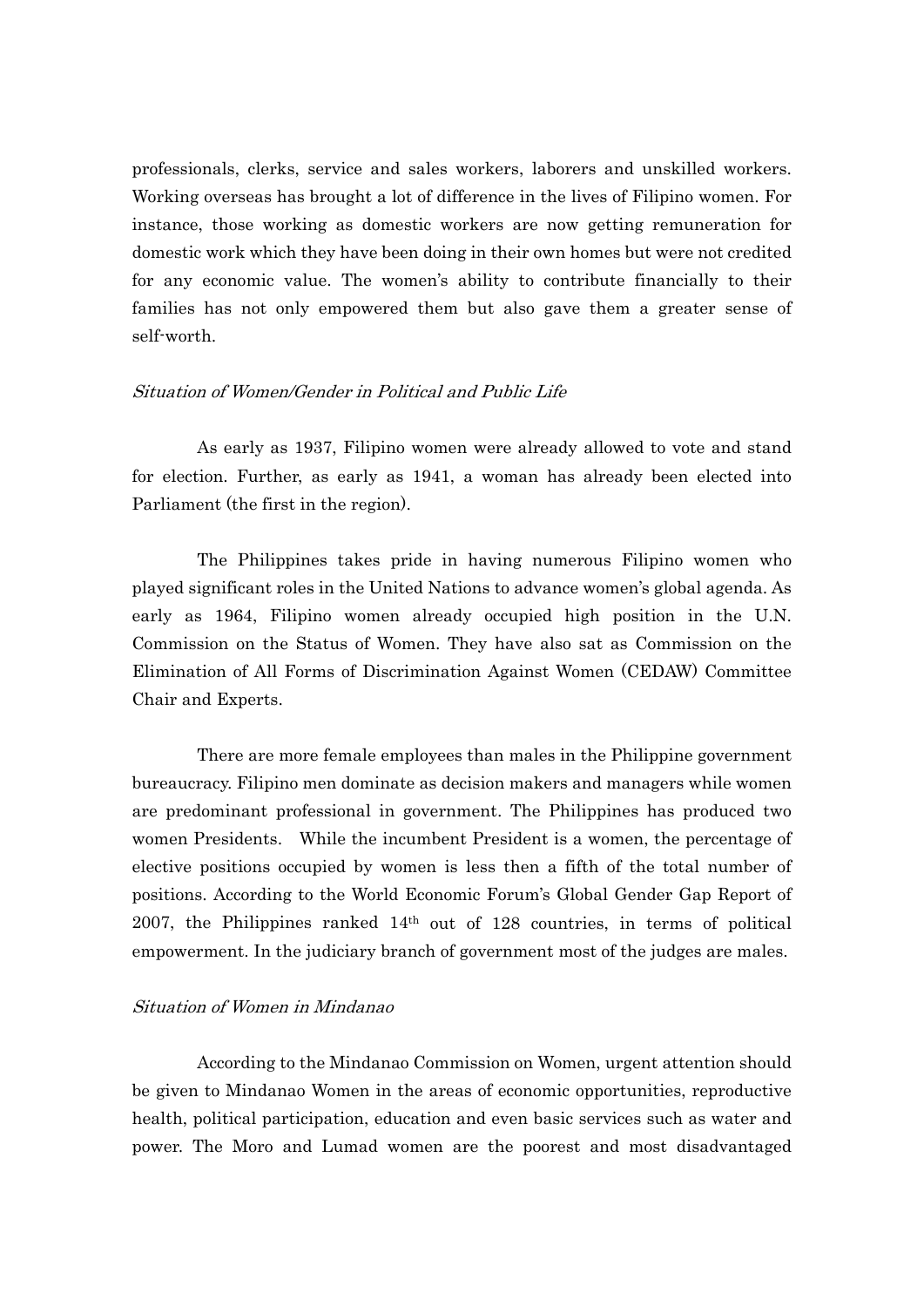professionals, clerks, service and sales workers, laborers and unskilled workers. Working overseas has brought a lot of difference in the lives of Filipino women. For instance, those working as domestic workers are now getting remuneration for domestic work which they have been doing in their own homes but were not credited for any economic value. The women's ability to contribute financially to their families has not only empowered them but also gave them a greater sense of self-worth.

### Situation of Women/Gender in Political and Public Life

 As early as 1937, Filipino women were already allowed to vote and stand for election. Further, as early as 1941, a woman has already been elected into Parliament (the first in the region).

 The Philippines takes pride in having numerous Filipino women who played significant roles in the United Nations to advance women's global agenda. As early as 1964, Filipino women already occupied high position in the U.N. Commission on the Status of Women. They have also sat as Commission on the Elimination of All Forms of Discrimination Against Women (CEDAW) Committee Chair and Experts.

 There are more female employees than males in the Philippine government bureaucracy. Filipino men dominate as decision makers and managers while women are predominant professional in government. The Philippines has produced two women Presidents. While the incumbent President is a women, the percentage of elective positions occupied by women is less then a fifth of the total number of positions. According to the World Economic Forum's Global Gender Gap Report of 2007, the Philippines ranked  $14<sup>th</sup>$  out of 128 countries, in terms of political empowerment. In the judiciary branch of government most of the judges are males.

### Situation of Women in Mindanao

 According to the Mindanao Commission on Women, urgent attention should be given to Mindanao Women in the areas of economic opportunities, reproductive health, political participation, education and even basic services such as water and power. The Moro and Lumad women are the poorest and most disadvantaged